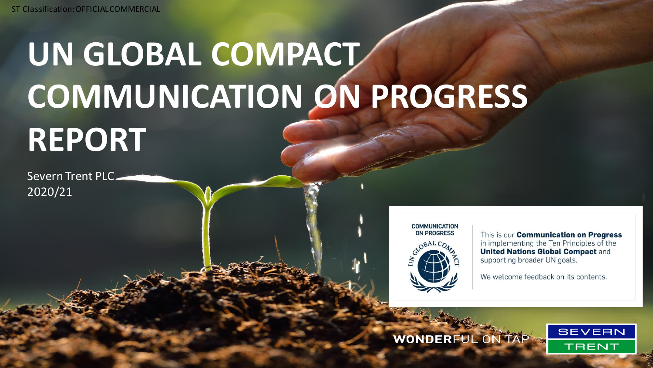## **UN GLOBAL COMPACT COMMUNICATION ON PROGRESS REPORT**

Severn Trent PLC 2020/21



This is our **Communication on Progress** in implementing the Ten Principles of the **United Nations Global Compact and** supporting broader UN goals.

We welcome feedback on its contents.

WONDERFUL ON TA

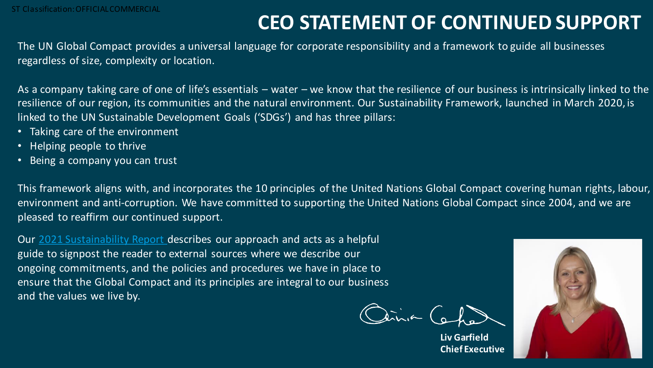## **CEO STATEMENT OF CONTINUED SUPPORT**

The UN Global Compact provides a universal language for corporate responsibility and a framework to guide all businesses regardless of size, complexity or location.

As a company taking care of one of life's essentials – water – we know that the resilience of our business is intrinsically linked to the resilience of our region, its communities and the natural environment. Our Sustainability Framework, launched in March 2020, is linked to the UN Sustainable Development Goals ('SDGs') and has three pillars:

- Taking care of the environment
- Helping people to thrive
- Being a company you can trust

This framework aligns with, and incorporates the 10 principles of the United Nations Global Compact covering human rights, labour, environment and anti-corruption. We have committed to supporting the United Nations Global Compact since 2004, and we are pleased to reaffirm our continued support.

Our [2021 Sustainability Report d](https://www.severntrent.com/content/dam/stw-plc/interactive-sustainability-report/publication/contents/templates/Severn_Trent_plc_Sustainability_Report_2021.pdf)escribes our approach and acts as a helpful guide to signpost the reader to external sources where we describe our ongoing commitments, and the policies and procedures we have in place to ensure that the Global Compact and its principles are integral to our business and the values we live by.

arina Cash

**Liv Garfield Chief Executive**

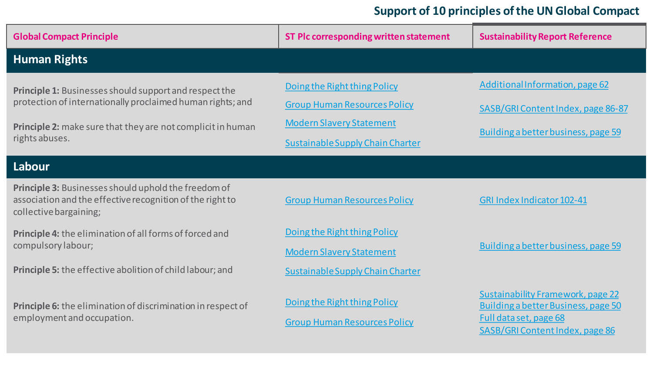## **Support of 10 principles of the UN Global Compact**

| <b>Global Compact Principle</b>                                                                                                                                                                       | ST Plc corresponding written statement                                                                                                     | <b>Sustainability Report Reference</b>                                                                                                              |
|-------------------------------------------------------------------------------------------------------------------------------------------------------------------------------------------------------|--------------------------------------------------------------------------------------------------------------------------------------------|-----------------------------------------------------------------------------------------------------------------------------------------------------|
| <b>Human Rights</b>                                                                                                                                                                                   |                                                                                                                                            |                                                                                                                                                     |
| Principle 1: Businesses should support and respect the<br>protection of internationally proclaimed human rights; and<br>Principle 2: make sure that they are not complicit in human<br>rights abuses. | Doing the Right thing Policy<br><b>Group Human Resources Policy</b><br><b>Modern Slavery Statement</b><br>Sustainable Supply Chain Charter | Additional Information, page 62<br>SASB/GRI Content Index, page 86-87<br>Building a better business, page 59                                        |
| Labour                                                                                                                                                                                                |                                                                                                                                            |                                                                                                                                                     |
| Principle 3: Businesses should uphold the freedom of<br>association and the effective recognition of the right to<br>collective bargaining;                                                           | <b>Group Human Resources Policy</b>                                                                                                        | <b>GRI Index Indicator 102-41</b>                                                                                                                   |
| Principle 4: the elimination of all forms of forced and<br>compulsory labour;                                                                                                                         | Doing the Right thing Policy<br><b>Modern Slavery Statement</b>                                                                            | Building a better business, page 59                                                                                                                 |
| Principle 5: the effective abolition of child labour; and                                                                                                                                             | Sustainable Supply Chain Charter                                                                                                           |                                                                                                                                                     |
| Principle 6: the elimination of discrimination in respect of<br>employment and occupation.                                                                                                            | Doing the Right thing Policy<br><b>Group Human Resources Policy</b>                                                                        | <b>Sustainability Framework, page 22</b><br><b>Building a better Business, page 50</b><br>Full data set, page 68<br>SASB/GRI Content Index, page 86 |